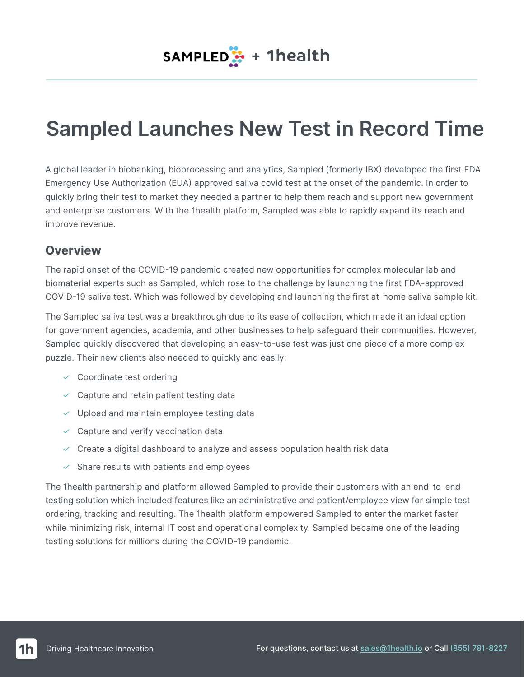# **Sampled Launches New Test in Record Time**

A global leader in biobanking, bioprocessing and analytics, Sampled (formerly IBX) developed the first FDA Emergency Use Authorization (EUA) approved saliva covid test at the onset of the pandemic. In order to quickly bring their test to market they needed a partner to help them reach and support new government and enterprise customers. With the 1health platform, Sampled was able to rapidly expand its reach and improve revenue.

#### **Overview**

The rapid onset of the COVID-19 pandemic created new opportunities for complex molecular lab and biomaterial experts such as Sampled, which rose to the challenge by launching the first FDA-approved COVID-19 saliva test. Which was followed by developing and launching the first at-home saliva sample kit.

The Sampled saliva test was a breakthrough due to its ease of collection, which made it an ideal option for government agencies, academia, and other businesses to help safeguard their communities. However, Sampled quickly discovered that developing an easy-to-use test was just one piece of a more complex puzzle. Their new clients also needed to quickly and easily:

- $\vee$  Coordinate test ordering
- $\vee$  Capture and retain patient testing data
- $\vee$  Upload and maintain employee testing data
- $\vee$  Capture and verify vaccination data
- $\vee$  Create a digital dashboard to analyze and assess population health risk data
- $\vee$  Share results with patients and employees

The 1health partnership and platform allowed Sampled to provide their customers with an end-to-end testing solution which included features like an administrative and patient/employee view for simple test ordering, tracking and resulting. The 1health platform empowered Sampled to enter the market faster while minimizing risk, internal IT cost and operational complexity. Sampled became one of the leading testing solutions for millions during the COVID-19 pandemic.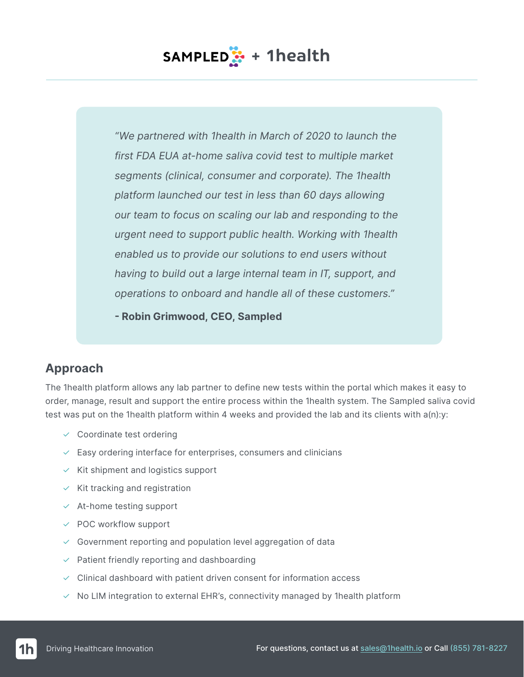## **SAMPLED**: + 1health

*"We partnered with 1health in March of 2020 to launch the first FDA EUA at-home saliva covid test to multiple market segments (clinical, consumer and corporate). The 1health platform launched our test in less than 60 days allowing our team to focus on scaling our lab and responding to the urgent need to support public health. Working with 1health enabled us to provide our solutions to end users without having to build out a large internal team in IT, support, and operations to onboard and handle all of these customers."*

**- Robin Grimwood, CEO, Sampled**

#### **Approach**

The 1health platform allows any lab partner to define new tests within the portal which makes it easy to order, manage, result and support the entire process within the 1health system. The Sampled saliva covid test was put on the 1health platform within 4 weeks and provided the lab and its clients with a(n):y:

- $\vee$  Coordinate test ordering
- $\vee$  Easy ordering interface for enterprises, consumers and clinicians
- $\times$  Kit shipment and logistics support
- $\times$  Kit tracking and registration
- $\times$  At-home testing support
- $\vee$  POC workflow support
- $\vee$  Government reporting and population level aggregation of data
- $\vee$  Patient friendly reporting and dashboarding
- $\vee$  Clinical dashboard with patient driven consent for information access
- $\vee$  No LIM integration to external EHR's, connectivity managed by 1health platform